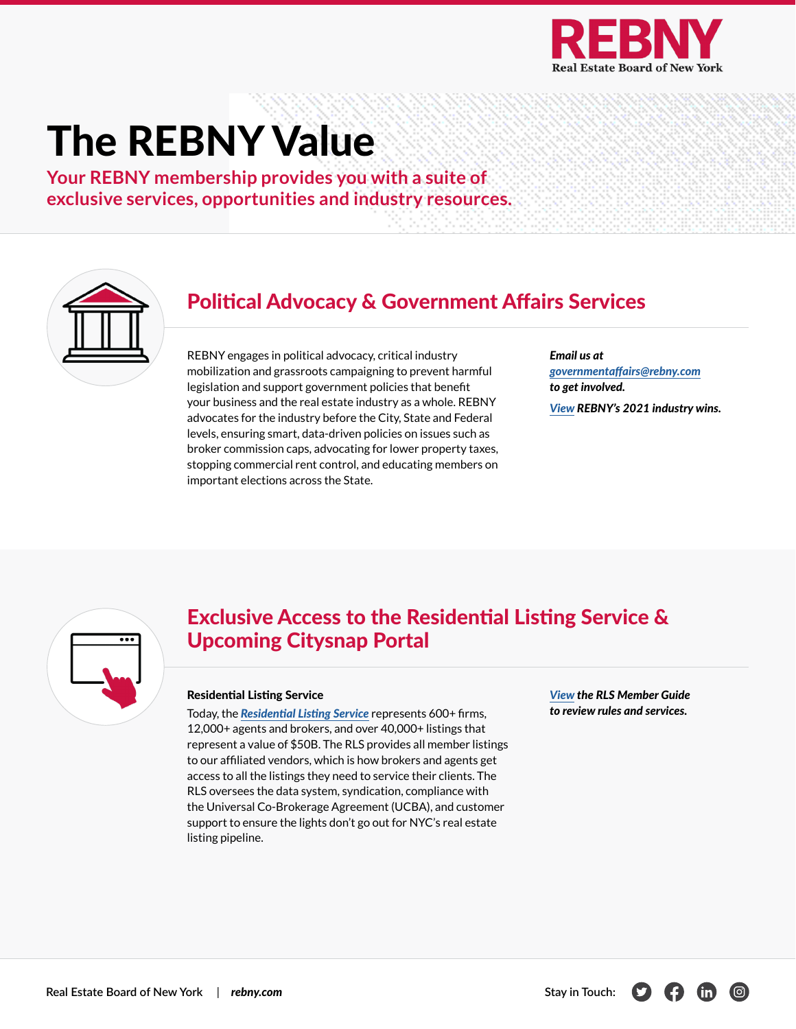

# The REBNY Value

**Your REBNY membership provides you with a suite of exclusive services, opportunities and industry resources.**



### Political Advocacy & Government Affairs Services

REBNY engages in political advocacy, critical industry mobilization and grassroots campaigning to prevent harmful legislation and support government policies that benefit your business and the real estate industry as a whole. REBNY advocates for the industry before the City, State and Federal levels, ensuring smart, data-driven policies on issues such as broker commission caps, advocating for lower property taxes, stopping commercial rent control, and educating members on important elections across the State.

*Email us at [governmentaffairs@rebny.com](mailto:governmentaffairs%40rebny.com?subject=) to get involved. [View](https://www.rebny.com/content/dam/rebny/Documents/PDF/Resources/REBNY_2021_Accomplishments.pdf) REBNY's 2021 industry wins.*



### Exclusive Access to the Residential Listing Service & Upcoming Citysnap Portal

#### Residential Listing Service

Today, the *[Residential Listing Service](https://www.rlsny.com/)* represents 600+ firms, 12,000+ agents and brokers, and over 40,000+ listings that represent a value of \$50B. The RLS provides all member listings to our affiliated vendors, which is how brokers and agents get access to all the listings they need to service their clients. The RLS oversees the data system, syndication, compliance with the Universal Co-Brokerage Agreement (UCBA), and customer support to ensure the lights don't go out for NYC's real estate listing pipeline.

*[View](https://www.rebny.com/content/dam/rebny/Documents/PDF/Resources/RLS_MemberGuide.pdf) the RLS Member Guide to review rules and services.*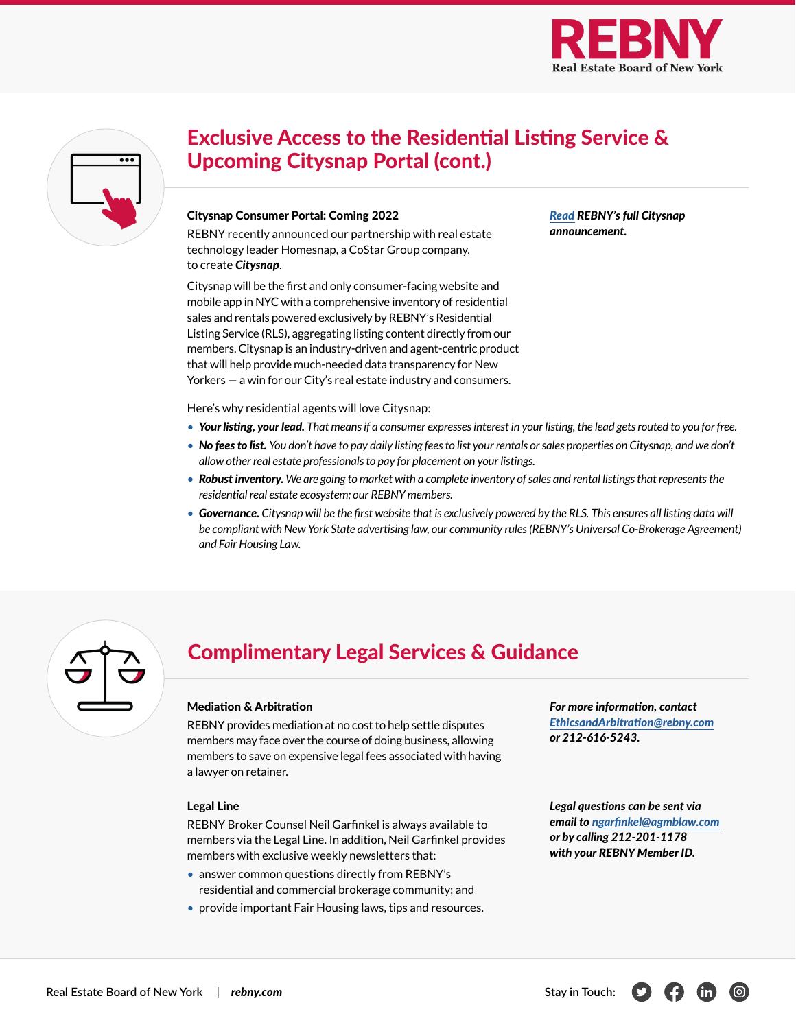

*[Read](https://www.rebny.com/content/rebny/en/newsroom/press-releases/2021_Press_Releases/The_Real_Estate_Board_of_New_York_Partners_with_Real_Estate_Technology_Leader_Homesnap_to_Launch_Public_Portal_for_New_York_Citys_Residential_Listing_Service.html) REBNY's full Citysnap* 

*announcement.*

| $\bullet\bullet\bullet$ |
|-------------------------|
|                         |
|                         |
|                         |
|                         |
|                         |

# Exclusive Access to the Residential Listing Service & Upcoming Citysnap Portal (cont.)

#### Citysnap Consumer Portal: Coming 2022

REBNY recently announced our partnership with real estate technology leader Homesnap, a CoStar Group company, to create *Citysnap*.

Citysnap will be the first and only consumer-facing website and mobile app in NYC with a comprehensive inventory of residential sales and rentals powered exclusively by REBNY's Residential Listing Service (RLS), aggregating listing content directly from our members. Citysnap is an industry-driven and agent-centric product that will help provide much-needed data transparency for New Yorkers — a win for our City's real estate industry and consumers.

Here's why residential agents will love Citysnap:

- *Your listing, your lead. That means if a consumer expresses interest in your listing, the lead gets routed to you for free.*
- *No fees to list. You don't have to pay daily listing fees to list your rentals or sales properties on Citysnap, and we don't allow other real estate professionals to pay for placement on your listings.*
- *Robust inventory. We are going to market with a complete inventory of sales and rental listings that represents the residential real estate ecosystem; our REBNY members.*
- *Governance. Citysnap will be the first website that is exclusively powered by the RLS. This ensures all listing data will*  be compliant with New York State advertising law, our community rules (REBNY's Universal Co-Brokerage Agreement) *and Fair Housing Law.*

| $\zeta$ | $\overline{a}$ |
|---------|----------------|
|         |                |
|         |                |

### Complimentary Legal Services & Guidance

#### Mediation & Arbitration

REBNY provides mediation at no cost to help settle disputes members may face over the course of doing business, allowing members to save on expensive legal fees associated with having a lawyer on retainer.

#### Legal Line

REBNY Broker Counsel Neil Garfinkel is always available to members via the Legal Line. In addition, Neil Garfinkel provides members with exclusive weekly newsletters that:

- answer common questions directly from REBNY's residential and commercial brokerage community; and
- provide important Fair Housing laws, tips and resources.

*For more information, contact [EthicsandArbitration@rebny.com](mailto:EthicsandArbitration%40rebny.com?subject=) or 212-616-5243.*

*Legal questions can be sent via email to [ngarfinkel@agmblaw.com](mailto:ngarfinkel%40agmblaw.com?subject=) or by calling 212-201-1178 with your REBNY Member ID.*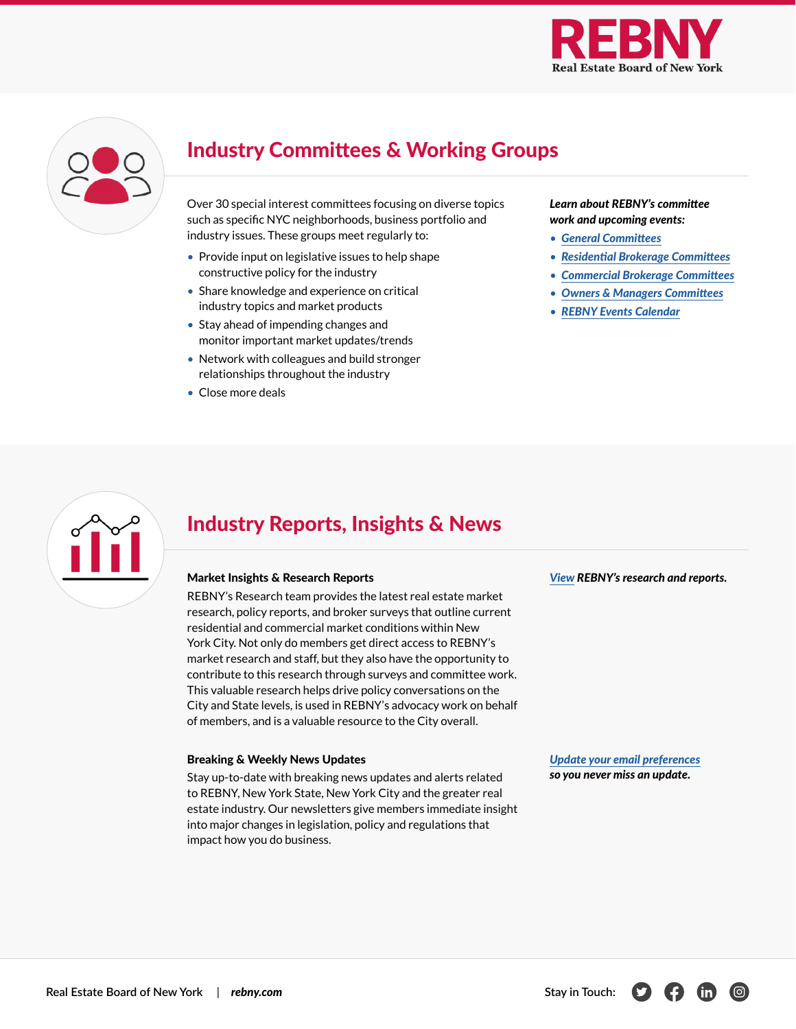

| $\Box$ |
|--------|
|        |
|        |
|        |

# Industry Committees & Working Groups

Over 30 special interest committees focusing on diverse topics such as specific NYC neighborhoods, business portfolio and industry issues. These groups meet regularly to:

- Provide input on legislative issues to help shape constructive policy for the industry
- Share knowledge and experience on critical industry topics and market products
- Stay ahead of impending changes and monitor important market updates/trends
- Network with colleagues and build stronger relationships throughout the industry
- Close more deals

#### *Learn about REBNY's committee work and upcoming events:*

- *[General Committees](https://www.rebny.com/content/rebny/en/about/committees.html/)*
- *[Residential Brokerage Committees](https://www.rebny.com/content/dam/rebny/Documents/PDF/Brokerage/Residential%20Committee%20Overview.pdf)*
- *[Commercial Brokerage Committees](https://www.rebny.com/content/dam/rebny/Documents/PDF/Brokerage/Commercial%20Committee%20Overview.pdf)*
- *[Owners & Managers Committees](https://www.rebny.com/content/dam/rebny/Documents/PDF/Resources/REBNY%20OM%20COMMITTEES.pdf)*
- *[REBNY Events Calendar](https://www.rebny.com/content/rebny/en/Event_Calendar.html/)*



### Industry Reports, Insights & News

#### Market Insights & Research Reports

REBNY's Research team provides the latest real estate market research, policy reports, and broker surveys that outline current residential and commercial market conditions within New York City. Not only do members get direct access to REBNY's market research and staff, but they also have the opportunity to contribute to this research through surveys and committee work. This valuable research helps drive policy conversations on the City and State levels, is used in REBNY's advocacy work on behalf of members, and is a valuable resource to the City overall.

#### Breaking & Weekly News Updates

Stay up-to-date with breaking news updates and alerts related to REBNY, New York State, New York City and the greater real estate industry. Our newsletters give members immediate insight into major changes in legislation, policy and regulations that impact how you do business.

*[View](https://www.rebny.com/content/rebny/en/research.html) REBNY's research and reports.*

*[Update your email preferences](https://www.myrebny.com/s/forms?id=a1h1I000004uIGbQAM) so you never miss an update.*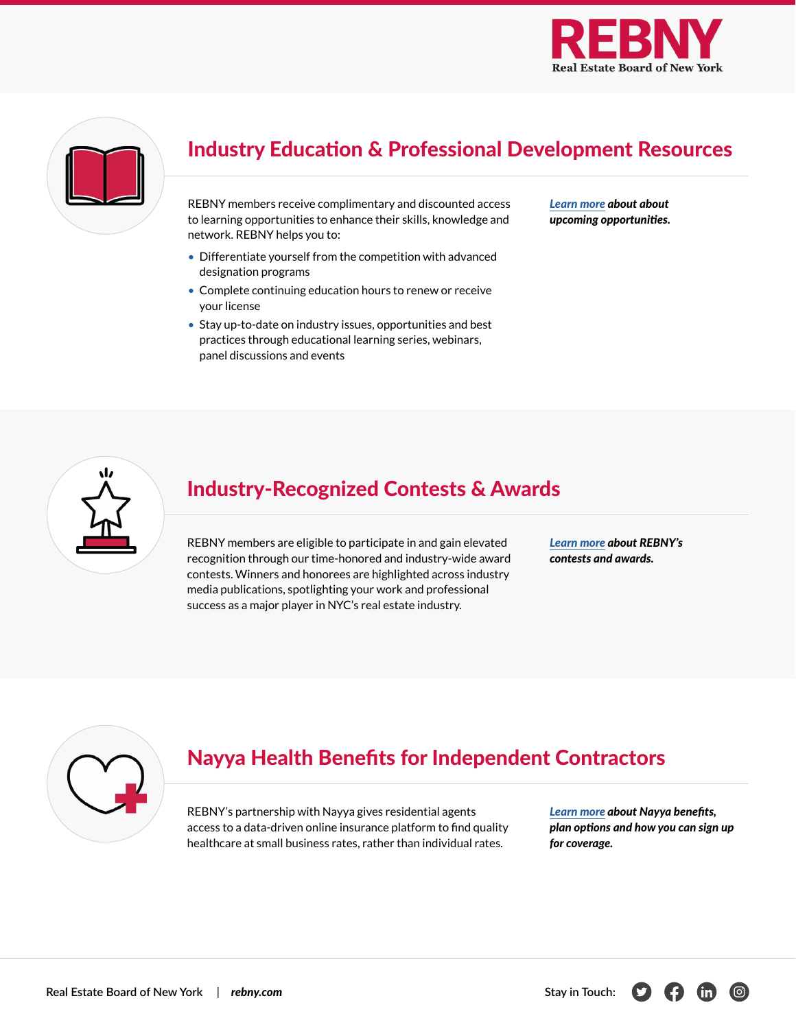



# Industry Education & Professional Development Resources

REBNY members receive complimentary and discounted access to learning opportunities to enhance their skills, knowledge and network. REBNY helps you to:

- Differentiate yourself from the competition with advanced designation programs
- Complete continuing education hours to renew or receive your license
- Stay up-to-date on industry issues, opportunities and best practices through educational learning series, webinars, panel discussions and events

*[Learn more](http://rebny.com/education) about about upcoming opportunities.*



### Industry-Recognized Contests & Awards

REBNY members are eligible to participate in and gain elevated recognition through our time-honored and industry-wide award contests. Winners and honorees are highlighted across industry media publications, spotlighting your work and professional success as a major player in NYC's real estate industry.

*[Learn more](https://www.rebny.com/content/rebny/en/about/Contests_Awards.html) about REBNY's contests and awards.*



## Nayya Health Benefits for Independent Contractors

REBNY's partnership with Nayya gives residential agents access to a data-driven online insurance platform to find quality healthcare at small business rates, rather than individual rates.

*[Learn more](https://www.rebny.com/content/dam/rebny/Documents/PDF/Brokerage/Nayya+REBNY%20Overview%20for%20Members.pdf) about Nayya benefits, plan options and how you can sign up for coverage.*